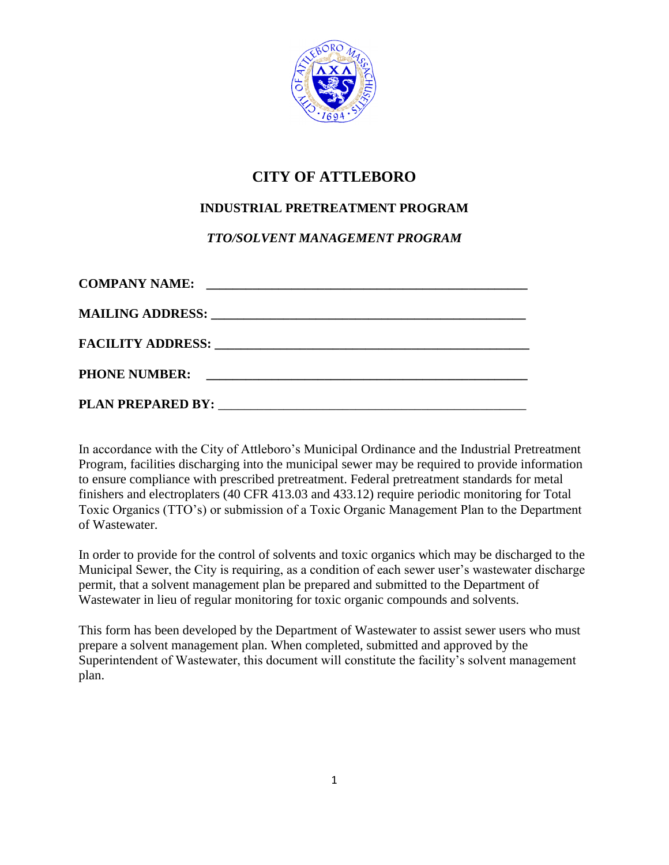

# **CITY OF ATTLEBORO**

## **INDUSTRIAL PRETREATMENT PROGRAM**

### *TTO/SOLVENT MANAGEMENT PROGRAM*

| <b>COMPANY NAME:</b> | <u> 1980 - Johann John Stein, fransk politik (f. 1980)</u> |
|----------------------|------------------------------------------------------------|
|                      |                                                            |
|                      |                                                            |
|                      |                                                            |
|                      |                                                            |

In accordance with the City of Attleboro's Municipal Ordinance and the Industrial Pretreatment Program, facilities discharging into the municipal sewer may be required to provide information to ensure compliance with prescribed pretreatment. Federal pretreatment standards for metal finishers and electroplaters (40 CFR 413.03 and 433.12) require periodic monitoring for Total Toxic Organics (TTO's) or submission of a Toxic Organic Management Plan to the Department of Wastewater.

In order to provide for the control of solvents and toxic organics which may be discharged to the Municipal Sewer, the City is requiring, as a condition of each sewer user's wastewater discharge permit, that a solvent management plan be prepared and submitted to the Department of Wastewater in lieu of regular monitoring for toxic organic compounds and solvents.

This form has been developed by the Department of Wastewater to assist sewer users who must prepare a solvent management plan. When completed, submitted and approved by the Superintendent of Wastewater, this document will constitute the facility's solvent management plan.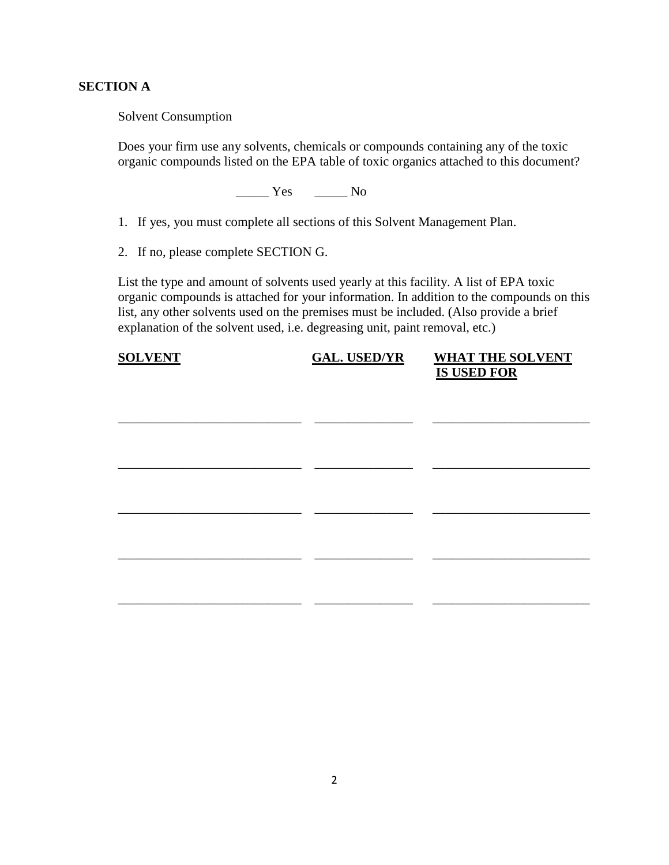#### **SECTION A**

Solvent Consumption

Does your firm use any solvents, chemicals or compounds containing any of the toxic organic compounds listed on the EPA table of toxic organics attached to this document?

 $\frac{1}{\sqrt{1-\frac{1}{c}}}$  Yes  $\frac{1}{\sqrt{1-\frac{1}{c}}}$  No

- 1. If yes, you must complete all sections of this Solvent Management Plan.
- 2. If no, please complete SECTION G.

List the type and amount of solvents used yearly at this facility. A list of EPA toxic organic compounds is attached for your information. In addition to the compounds on this list, any other solvents used on the premises must be included. (Also provide a brief explanation of the solvent used, i.e. degreasing unit, paint removal, etc.)

| <b>SOLVENT</b> | <b>GAL. USED/YR</b> | <b>WHAT THE SOLVENT</b><br><b>IS USED FOR</b> |
|----------------|---------------------|-----------------------------------------------|
|                |                     |                                               |
|                |                     |                                               |
|                |                     |                                               |
|                |                     |                                               |
|                |                     |                                               |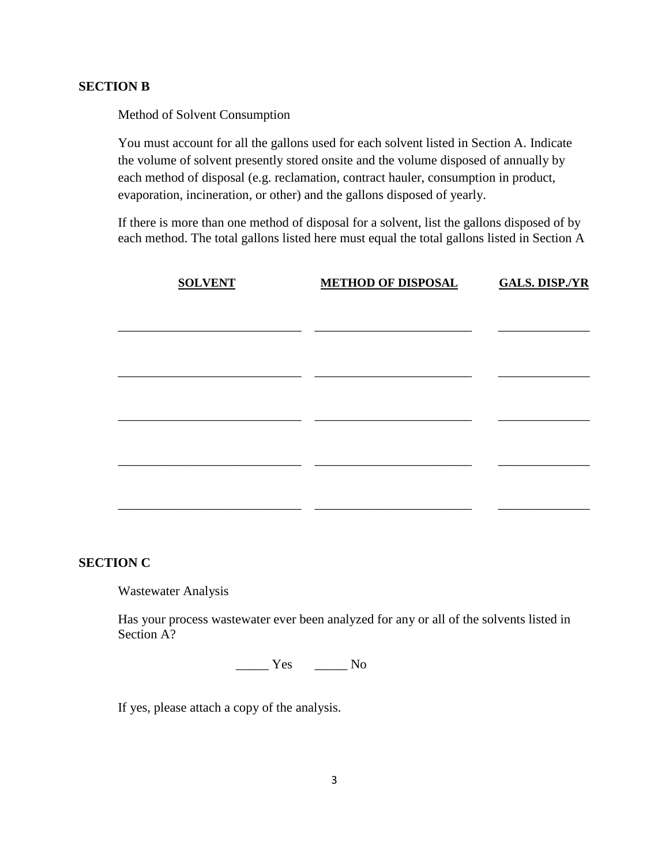#### **SECTION B**

Method of Solvent Consumption

You must account for all the gallons used for each solvent listed in Section A. Indicate the volume of solvent presently stored onsite and the volume disposed of annually by each method of disposal (e.g. reclamation, contract hauler, consumption in product, evaporation, incineration, or other) and the gallons disposed of yearly.

If there is more than one method of disposal for a solvent, list the gallons disposed of by each method. The total gallons listed here must equal the total gallons listed in Section A

| <b>SOLVENT</b> | <b>METHOD OF DISPOSAL</b> | <b>GALS. DISP./YR</b> |
|----------------|---------------------------|-----------------------|
|                |                           |                       |
|                |                           |                       |
|                |                           |                       |
|                |                           |                       |
|                |                           |                       |
|                |                           |                       |
|                |                           |                       |
|                |                           |                       |

#### **SECTION C**

Wastewater Analysis

Has your process wastewater ever been analyzed for any or all of the solvents listed in Section A?

 $\frac{1}{\sqrt{1-\frac{1}{c}}}$  Yes  $\frac{1}{\sqrt{1-\frac{1}{c}}}$  No

If yes, please attach a copy of the analysis.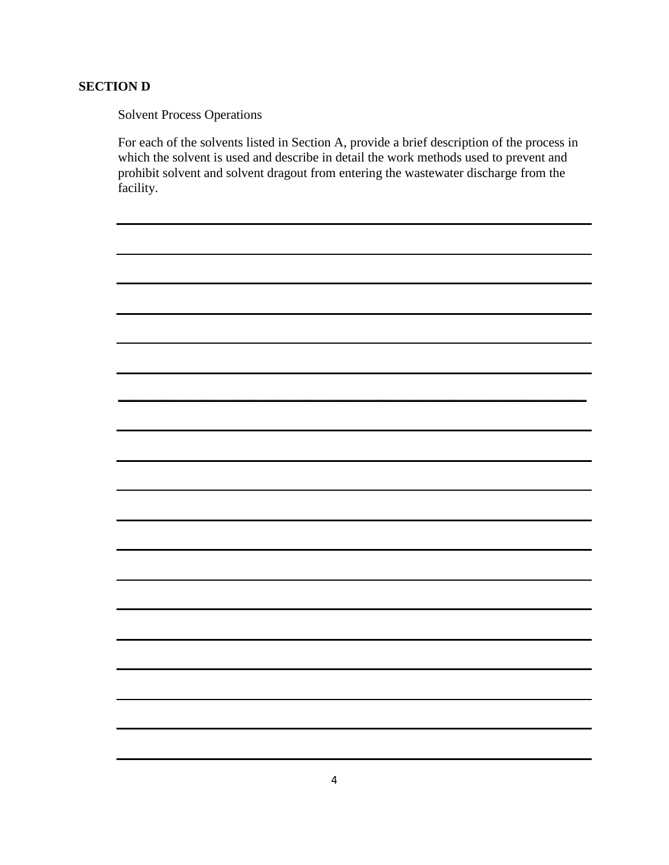### **SECTION D**

Solvent Process Operations

For each of the solvents listed in Section A, provide a brief description of the process in which the solvent is used and describe in detail the work methods used to prevent and prohibit solvent and solvent dragout from entering the wastewater discharge from the facility.

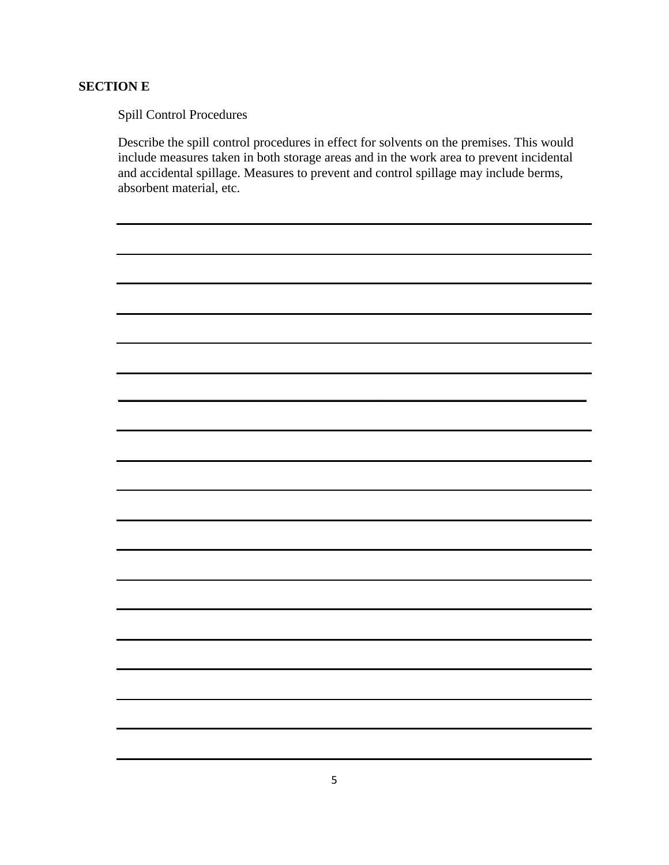### **SECTION E**

Spill Control Procedures

Describe the spill control procedures in effect for solvents on the premises. This would include measures taken in both storage areas and in the work area to prevent incidental and accidental spillage. Measures to prevent and control spillage may include berms, absorbent material, etc.

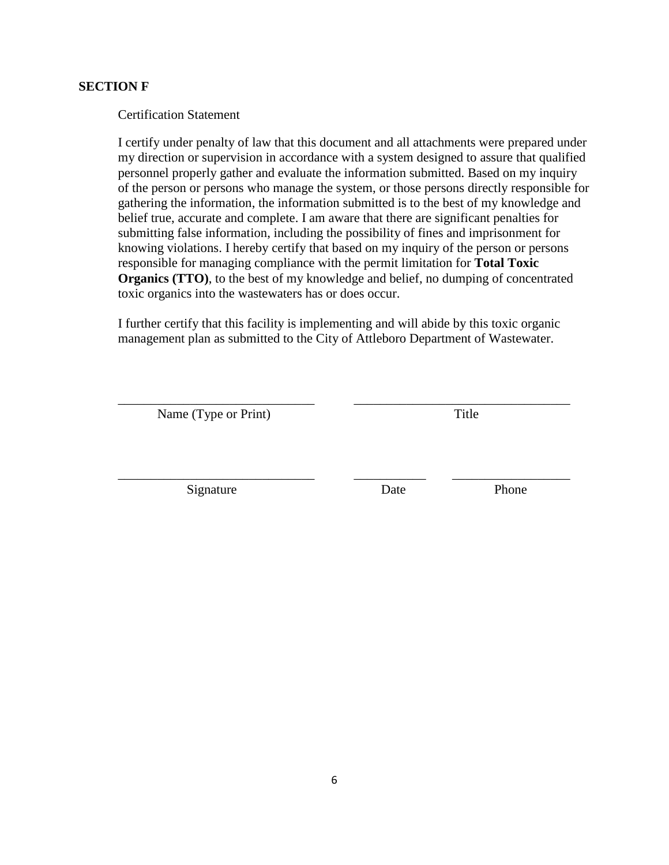#### **SECTION F**

Certification Statement

I certify under penalty of law that this document and all attachments were prepared under my direction or supervision in accordance with a system designed to assure that qualified personnel properly gather and evaluate the information submitted. Based on my inquiry of the person or persons who manage the system, or those persons directly responsible for gathering the information, the information submitted is to the best of my knowledge and belief true, accurate and complete. I am aware that there are significant penalties for submitting false information, including the possibility of fines and imprisonment for knowing violations. I hereby certify that based on my inquiry of the person or persons responsible for managing compliance with the permit limitation for **Total Toxic Organics (TTO)**, to the best of my knowledge and belief, no dumping of concentrated toxic organics into the wastewaters has or does occur.

I further certify that this facility is implementing and will abide by this toxic organic management plan as submitted to the City of Attleboro Department of Wastewater.

\_\_\_\_\_\_\_\_\_\_\_\_\_\_\_\_\_\_\_\_\_\_\_\_\_\_\_\_\_\_ \_\_\_\_\_\_\_\_\_\_\_\_\_\_\_\_\_\_\_\_\_\_\_\_\_\_\_\_\_\_\_\_\_

\_\_\_\_\_\_\_\_\_\_\_\_\_\_\_\_\_\_\_\_\_\_\_\_\_\_\_\_\_\_ \_\_\_\_\_\_\_\_\_\_\_ \_\_\_\_\_\_\_\_\_\_\_\_\_\_\_\_\_\_

Name (Type or Print) Title

Signature Date **Date** Phone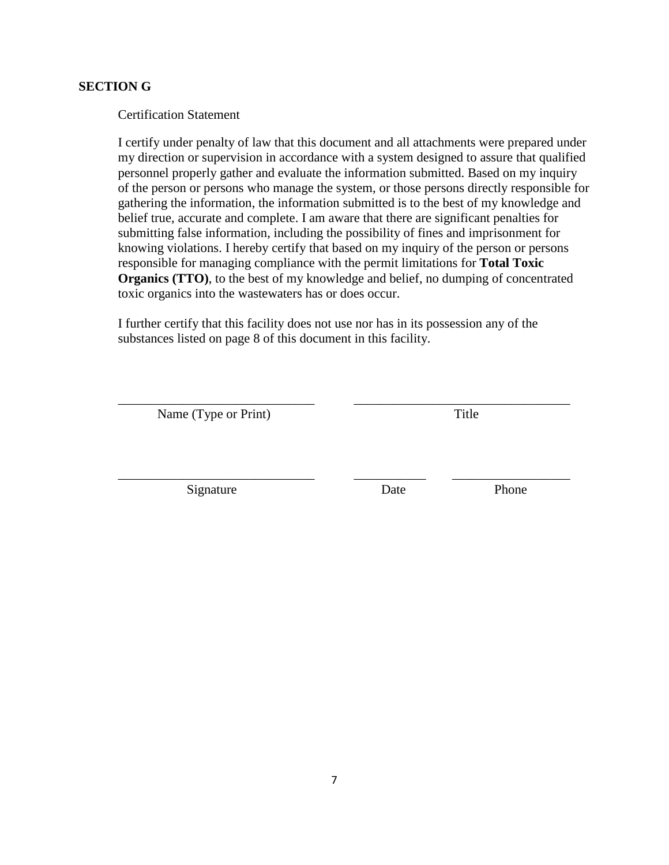#### **SECTION G**

Certification Statement

I certify under penalty of law that this document and all attachments were prepared under my direction or supervision in accordance with a system designed to assure that qualified personnel properly gather and evaluate the information submitted. Based on my inquiry of the person or persons who manage the system, or those persons directly responsible for gathering the information, the information submitted is to the best of my knowledge and belief true, accurate and complete. I am aware that there are significant penalties for submitting false information, including the possibility of fines and imprisonment for knowing violations. I hereby certify that based on my inquiry of the person or persons responsible for managing compliance with the permit limitations for **Total Toxic Organics (TTO)**, to the best of my knowledge and belief, no dumping of concentrated toxic organics into the wastewaters has or does occur.

I further certify that this facility does not use nor has in its possession any of the substances listed on page 8 of this document in this facility.

\_\_\_\_\_\_\_\_\_\_\_\_\_\_\_\_\_\_\_\_\_\_\_\_\_\_\_\_\_\_ \_\_\_\_\_\_\_\_\_\_\_\_\_\_\_\_\_\_\_\_\_\_\_\_\_\_\_\_\_\_\_\_\_

\_\_\_\_\_\_\_\_\_\_\_\_\_\_\_\_\_\_\_\_\_\_\_\_\_\_\_\_\_\_ \_\_\_\_\_\_\_\_\_\_\_ \_\_\_\_\_\_\_\_\_\_\_\_\_\_\_\_\_\_

Name (Type or Print) Title

Signature Date **Date** Phone